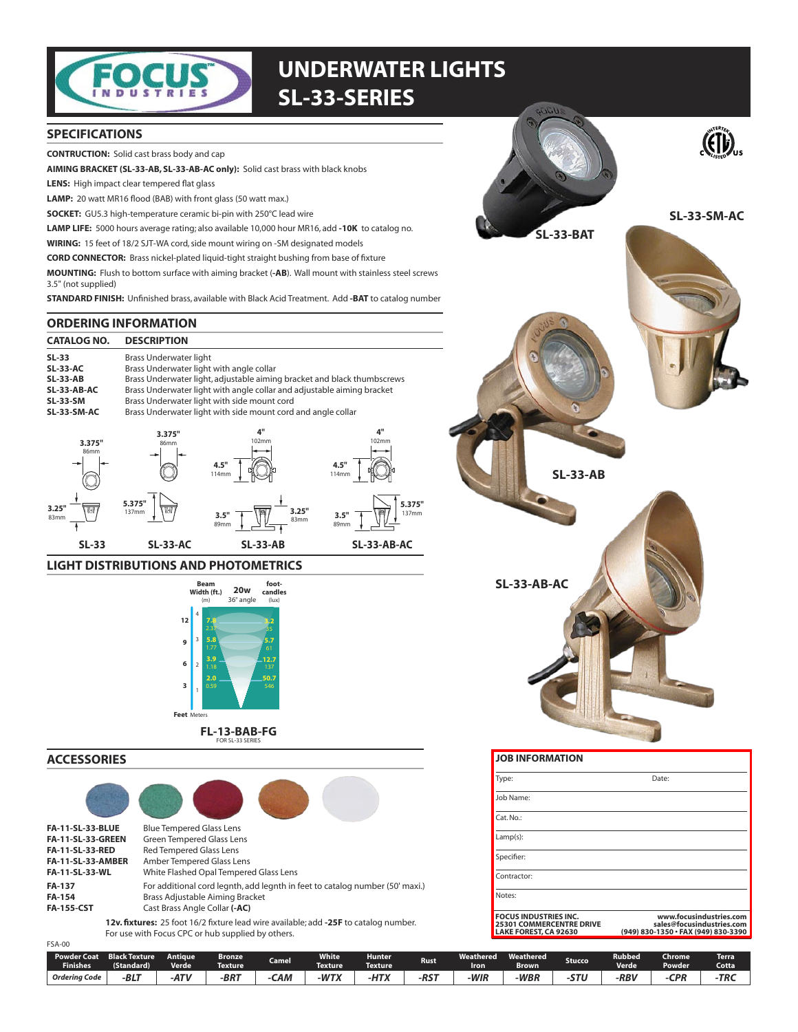

# **UNDERWATER LIGHTS SL-33-SERIES**

### **SPECIFICATIONS**

**CONTRUCTION:** Solid cast brass body and cap

AIMING BRACKET (SL-33-AB, SL-33-AB-AC only): Solid cast brass with black knobs

**LENS:** High impact clear tempered flat glass

LAMP: 20 watt MR16 flood (BAB) with front glass (50 watt max.)

SOCKET: GU5.3 high-temperature ceramic bi-pin with 250°C lead wire

LAMP LIFE: 5000 hours average rating; also available 10,000 hour MR16, add -10K to catalog no.

WIRING: 15 feet of 18/2 SJT-WA cord, side mount wiring on -SM designated models

**CORD CONNECTOR:** Brass nickel-plated liquid-tight straight bushing from base of fixture

MOUNTING: Flush to bottom surface with aiming bracket (-AB). Wall mount with stainless steel screws 3.5" (not supplied)

STANDARD FINISH: Unfinished brass, available with Black Acid Treatment. Add -BAT to catalog number

### **ORDERING INFORMATION**

| <b>CATALOG NO.</b> | <b>DESCRIPTION</b>                                                      |             |             |  |  |  |
|--------------------|-------------------------------------------------------------------------|-------------|-------------|--|--|--|
| $SL-33$            | Brass Underwater light                                                  |             |             |  |  |  |
| <b>SL-33-AC</b>    | Brass Underwater light with angle collar                                |             |             |  |  |  |
| <b>SL-33-AB</b>    | Brass Underwater light, adjustable aiming bracket and black thumbscrews |             |             |  |  |  |
| SL-33-AB-AC        | Brass Underwater light with angle collar and adjustable aiming bracket  |             |             |  |  |  |
| <b>SL-33-SM</b>    | Brass Underwater light with side mount cord                             |             |             |  |  |  |
| SL-33-SM-AC        | Brass Underwater light with side mount cord and angle collar            |             |             |  |  |  |
| つ つフェリ             | 3.375"<br>96mm                                                          | 4"<br>102mm | 4"<br>102mm |  |  |  |



### **LIGHT DISTRIBUTIONS AND PHOTOMETRICS**



**ACCESSORIES** 

| <b>FA-11-SL-33-BLUE</b>                                                              | <b>Blue Tempered Glass Lens</b>                                              |  |  |  |
|--------------------------------------------------------------------------------------|------------------------------------------------------------------------------|--|--|--|
| <b>FA-11-SL-33-GREEN</b>                                                             | <b>Green Tempered Glass Lens</b>                                             |  |  |  |
| <b>FA-11-SL-33-RED</b>                                                               | <b>Red Tempered Glass Lens</b>                                               |  |  |  |
| <b>FA-11-SL-33-AMBER</b>                                                             | Amber Tempered Glass Lens                                                    |  |  |  |
| <b>FA-11-SL-33-WL</b>                                                                | White Flashed Opal Tempered Glass Lens                                       |  |  |  |
| <b>FA-137</b>                                                                        | For additional cord legnth, add legnth in feet to catalog number (50' maxi.) |  |  |  |
| FA-154                                                                               | Brass Adjustable Aiming Bracket                                              |  |  |  |
| <b>FA-155-CST</b>                                                                    | Cast Brass Angle Collar (-AC)                                                |  |  |  |
| 12v. fixtures: 25 foot 16/2 fixture lead wire available; add -25F to catalog number. |                                                                              |  |  |  |

For use with Focus CPC or hub supplied by others.

| <b>FSA-00</b>                         |                                    |                          |                          |                    |                                |                          |             |                          |                           |               |                        |                                      |                       |
|---------------------------------------|------------------------------------|--------------------------|--------------------------|--------------------|--------------------------------|--------------------------|-------------|--------------------------|---------------------------|---------------|------------------------|--------------------------------------|-----------------------|
| <b>Powder Coat</b><br><b>Finishes</b> | <b>Black Texture</b><br>(Standard) | Antique.<br><b>Verde</b> | Bronze<br><b>Texture</b> | Camel <sup>1</sup> | <b>White</b><br><b>Texture</b> | <b>Hunter</b><br>Texture | <b>Rust</b> | <b>Weathered</b><br>Iron | Weathered<br><b>Brown</b> | <b>Stucco</b> | Rubbed<br><b>Verde</b> | <b>Chrome</b><br>Powder <sup>1</sup> | <b>Terra</b><br>Cotta |
| <b>Ordering Code</b>                  | $PI^+$<br>-DLI                     | -ATV                     | $-BRT$                   | САМ                | $-WTX$                         | <b>LITV</b><br>$-TIIA$   | $-RST$      | -WIR                     | <b>WBR</b>                | -STU          | -RBV                   | CPR                                  | -TRC                  |



| Type:                                                                                    | Date:                                                                                       |
|------------------------------------------------------------------------------------------|---------------------------------------------------------------------------------------------|
| Job Name:                                                                                |                                                                                             |
| $Cat$ . No.:                                                                             |                                                                                             |
| $Lamp(s)$ :                                                                              |                                                                                             |
| Specifier:                                                                               |                                                                                             |
| Contractor:                                                                              |                                                                                             |
| Notes:                                                                                   |                                                                                             |
| <b>FOCUS INDUSTRIES INC.</b><br><b>25301 COMMERCENTRE DRIVE</b><br>LAKE FOREST, CA 92630 | www.focusindustries.com<br>sales@focusindustries.com<br>(949) 830-1350 · FAX (949) 830-3390 |